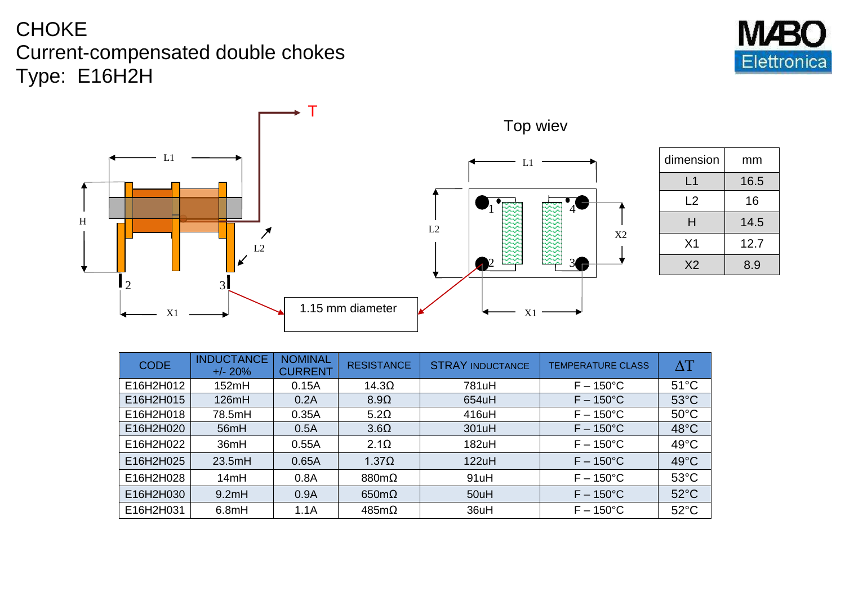## CHOKE Current-compensated double chokes Type: E16H2H



| dimension      | mm   |  |
|----------------|------|--|
| L1             | 16.5 |  |
| L <sub>2</sub> | 16   |  |
| н              | 14.5 |  |
| X <sub>1</sub> | 12.7 |  |
| X <sub>2</sub> | 8.9  |  |

| <b>CODE</b> | <b>INDUCTANCE</b><br>$+/- 20%$ | <b>NOMINAL</b><br><b>CURRENT</b> | <b>RESISTANCE</b>                                                                                                 | <b>STRAY INDUCTANCE</b> | <b>TEMPERATURE CLASS</b> | $\Delta T$     |
|-------------|--------------------------------|----------------------------------|-------------------------------------------------------------------------------------------------------------------|-------------------------|--------------------------|----------------|
| E16H2H012   | 152mH                          | 0.15A                            | 14.3 <omega< td=""><td>781uH</td><td><math>F - 150^{\circ}</math>C</td><td><math>51^{\circ}</math>C</td></omega<> | 781uH                   | $F - 150^{\circ}$ C      | $51^{\circ}$ C |
| E16H2H015   | 126mH                          | 0.2A                             | $8.9\Omega$                                                                                                       | 654uH                   | $F - 150^{\circ}$ C      | $53^{\circ}$ C |
| E16H2H018   | 78.5mH                         | 0.35A                            | 5.2 <omega< td=""><td>416uH</td><td><math>F - 150^{\circ}</math>C</td><td><math>50^{\circ}</math>C</td></omega<>  | 416uH                   | $F - 150^{\circ}$ C      | $50^{\circ}$ C |
| E16H2H020   | 56mH                           | 0.5A                             | $3.6\Omega$                                                                                                       | 301uH                   | $F - 150^{\circ}$ C      | $48^{\circ}$ C |
| E16H2H022   | 36mH                           | 0.55A                            | $2.1\Omega$                                                                                                       | 182uH                   | $F - 150^{\circ}$ C      | $49^{\circ}$ C |
| E16H2H025   | 23.5mH                         | 0.65A                            | 1.37 <omega< td=""><td>122uH</td><td><math>F - 150^{\circ}</math>C</td><td><math>49^{\circ}</math>C</td></omega<> | 122uH                   | $F - 150^{\circ}$ C      | $49^{\circ}$ C |
| E16H2H028   | 14mH                           | 0.8A                             | $880m\Omega$                                                                                                      | 91uH                    | $F - 150^{\circ}$ C      | $53^{\circ}$ C |
| E16H2H030   | 9.2mH                          | 0.9A                             | $650m\Omega$                                                                                                      | 50uH                    | $F - 150^{\circ}$ C      | $52^{\circ}$ C |
| E16H2H031   | 6.8mH                          | 1.1A                             | $485m\Omega$                                                                                                      | 36uH                    | $F - 150^{\circ}$ C      | $52^{\circ}$ C |